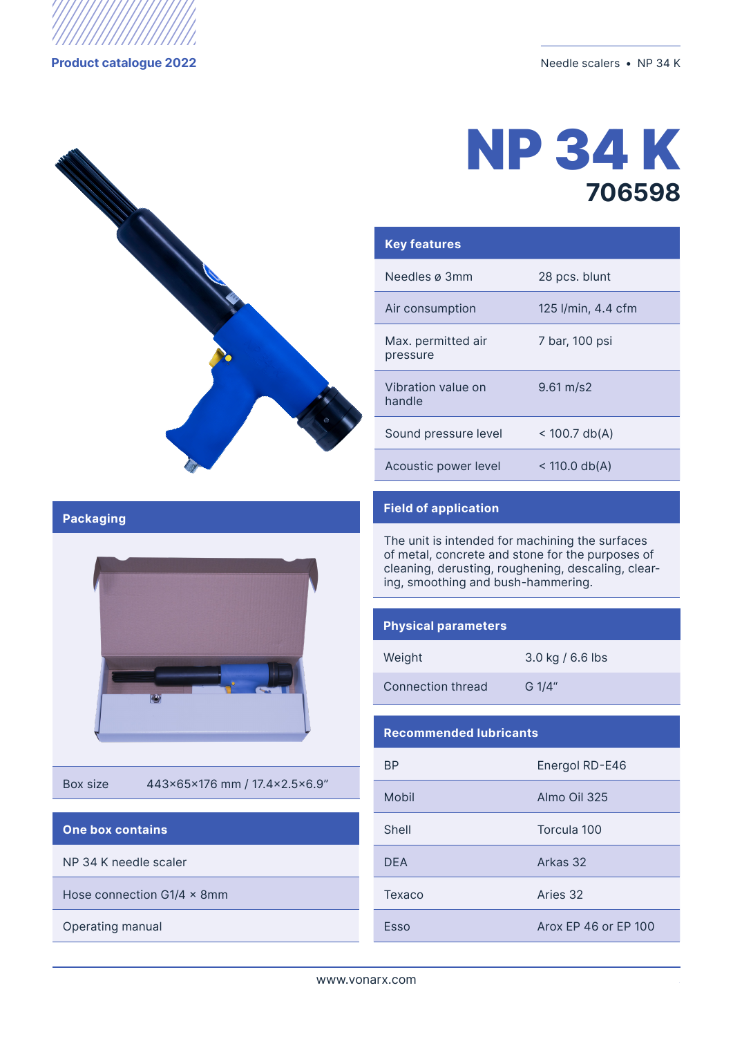

#### **Product catalogue 2022** Needle scalers • NP 34 K





| <b>Key features</b>            |                        |
|--------------------------------|------------------------|
| Needles ø 3mm                  | 28 pcs. blunt          |
| Air consumption                | 125 I/min, 4.4 cfm     |
| Max. permitted air<br>pressure | 7 bar, 100 psi         |
| Vibration value on<br>handle   | $9.61 \,\mathrm{m/s2}$ |
| Sound pressure level           | $<$ 100.7 db(A)        |
| Acoustic power level           | $< 110.0$ db(A)        |

## **Packaging**



Box size 443x65x176 mm / 17.4x2.5x6.9"

## **One box contains**

NP 34 K needle scaler

Hose connection G1/4  $\times$  8mm

Operating manual

## **Field of application**

The unit is intended for machining the surfaces of metal, concrete and stone for the purposes of cleaning, derusting, roughening, descaling, clearing, smoothing and bush-hammering.

#### **Physical parameters**

| Weight            | 3.0 kg |
|-------------------|--------|
| Connection thread | G 1/4" |

3.0 kg / 6.6 lbs

#### **Recommended lubricants**

| ВP         | Energol RD-E46       |  |  |
|------------|----------------------|--|--|
| Mobil      | Almo Oil 325         |  |  |
| Shell      | Torcula 100          |  |  |
| <b>DFA</b> | Arkas 32             |  |  |
| Texaco     | Aries 32             |  |  |
| Esso       | Arox FP 46 or FP 100 |  |  |